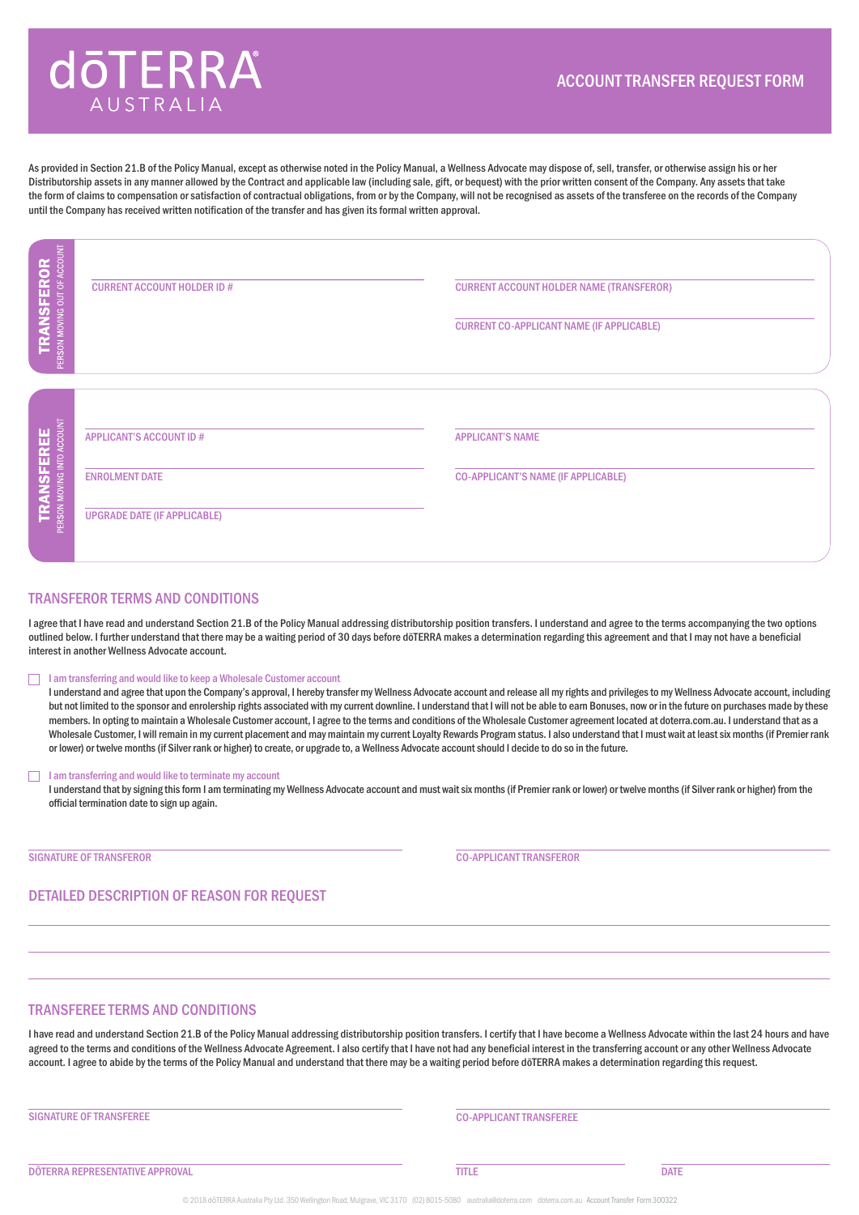# **dōTERRA** AUSTRAII

As provided in Section 21.B of the Policy Manual, except as otherwise noted in the Policy Manual, a Wellness Advocate may dispose of, sell, transfer, or otherwise assign his or her Distributorship assets in any manner allowed by the Contract and applicable law (including sale, gift, or bequest) with the prior written consent of the Company. Any assets that take the form of claims to compensation or satisfaction of contractual obligations, from or by the Company, will not be recognised as assets of the transferee on the records of the Company until the Company has received written notification of the transfer and has given its formal written approval.

| U<br><b>TRANSFEROR</b>              | <b>CURRENT ACCOUNT HOLDER ID#</b>                                                              | <b>CURRENT ACCOUNT HOLDER NAME (TRANSFEROR)</b><br><b>CURRENT CO-APPLICANT NAME (IF APPLICABLE)</b> |
|-------------------------------------|------------------------------------------------------------------------------------------------|-----------------------------------------------------------------------------------------------------|
| <b>TRANSFEREE</b><br><b>ISFEREE</b> | <b>APPLICANT'S ACCOUNT ID#</b><br><b>ENROLMENT DATE</b><br><b>UPGRADE DATE (IF APPLICABLE)</b> | <b>APPLICANT'S NAME</b><br><b>CO-APPLICANT'S NAME (IF APPLICABLE)</b>                               |

### TRANSFEROR TERMS AND CONDITIONS

I agree that I have read and understand Section 21.B of the Policy Manual addressing distributorship position transfers. I understand and agree to the terms accompanying the two options outlined below. I further understand that there may be a waiting period of 30 days before dōTERRA makes a determination regarding this agreement and that I may not have a beneficial interest in another Wellness Advocate account.

#### I am transferring and would like to keep a Wholesale Customer account П

I understand and agree that upon the Company's approval, I hereby transfer my Wellness Advocate account and release all my rights and privileges to my Wellness Advocate account, including but not limited to the sponsor and enrolership rights associated with my current downline. I understand that I will not be able to earn Bonuses, now or in the future on purchases made by these members. In opting to maintain a Wholesale Customer account, I agree to the terms and conditions of the Wholesale Customer agreement located at doterra.com.au. I understand that as a Wholesale Customer, I will remain in my current placement and may maintain my current Loyalty Rewards Program status. I also understand that I must wait at least six months (if Premier rank or lower) or twelve months (if Silver rank or higher) to create, or upgrade to, a Wellness Advocate account should I decide to do so in the future.

#### $\Box$ I am transferring and would like to terminate my account

I understand that by signing this form I am terminating my Wellness Advocate account and must wait six months (if Premier rank or lower) or twelve months (if Silver rank or higher) from the official termination date to sign up again.

SIGNATURE OF TRANSFEROR **CO-APPLICANT TRANSFEROR** 

## DETAILED DESCRIPTION OF REASON FOR REQUEST

#### TRANSFEREE TERMS AND CONDITIONS

I have read and understand Section 21.B of the Policy Manual addressing distributorship position transfers. I certify that I have become a Wellness Advocate within the last 24 hours and have agreed to the terms and conditions of the Wellness Advocate Agreement. I also certify that I have not had any beneficial interest in the transferring account or any other Wellness Advocate account. I agree to abide by the terms of the Policy Manual and understand that there may be a waiting period before dōTERRA makes a determination regarding this request.

#### SIGNATURE OF TRANSFEREE CONSULTING THE CO-APPLICANT TRANSFEREE

**DÖTERRA REPRESENTATIVE APPROVAL EXECUTE DATE EXECUTE A CONSUMING THE CONSUMING OF DEALER CONSUMING A DATE**